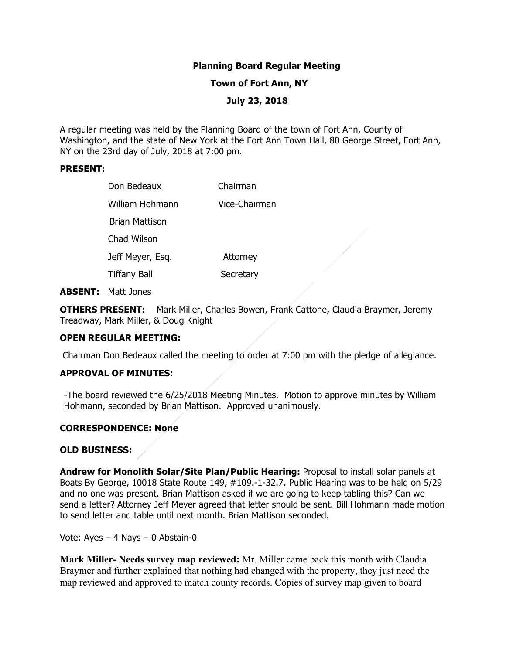# **Planning Board Regular Meeting**

### **Town of Fort Ann, NY**

# **July 23, 2018**

A regular meeting was held by the Planning Board of the town of Fort Ann, County of Washington, and the state of New York at the Fort Ann Town Hall, 80 George Street, Fort Ann, NY on the 23rd day of July, 2018 at 7:00 pm.

#### **PRESENT:**

| Don Bedeaux         | Chairman      |
|---------------------|---------------|
| William Hohmann     | Vice-Chairman |
| Brian Mattison      |               |
| Chad Wilson         |               |
| Jeff Meyer, Esq.    | Attorney      |
| <b>Tiffany Ball</b> | Secretary     |

#### **ABSENT:** Matt Jones

**OTHERS PRESENT:** Mark Miller, Charles Bowen, Frank Cattone, Claudia Braymer, Jeremy Treadway, Mark Miller, & Doug Knight

#### **OPEN REGULAR MEETING:**

Chairman Don Bedeaux called the meeting to order at 7:00 pm with the pledge of allegiance.

### **APPROVAL OF MINUTES:**

-The board reviewed the 6/25/2018 Meeting Minutes. Motion to approve minutes by William Hohmann, seconded by Brian Mattison. Approved unanimously.

### **CORRESPONDENCE: None**

#### **OLD BUSINESS:**

**Andrew for Monolith Solar/Site Plan/Public Hearing:** Proposal to install solar panels at Boats By George, 10018 State Route 149, #109.-1-32.7. Public Hearing was to be held on 5/29 and no one was present. Brian Mattison asked if we are going to keep tabling this? Can we send a letter? Attorney Jeff Meyer agreed that letter should be sent. Bill Hohmann made motion to send letter and table until next month. Brian Mattison seconded.

Vote: Ayes – 4 Nays – 0 Abstain-0

**Mark Miller- Needs survey map reviewed:** Mr. Miller came back this month with Claudia Braymer and further explained that nothing had changed with the property, they just need the map reviewed and approved to match county records. Copies of survey map given to board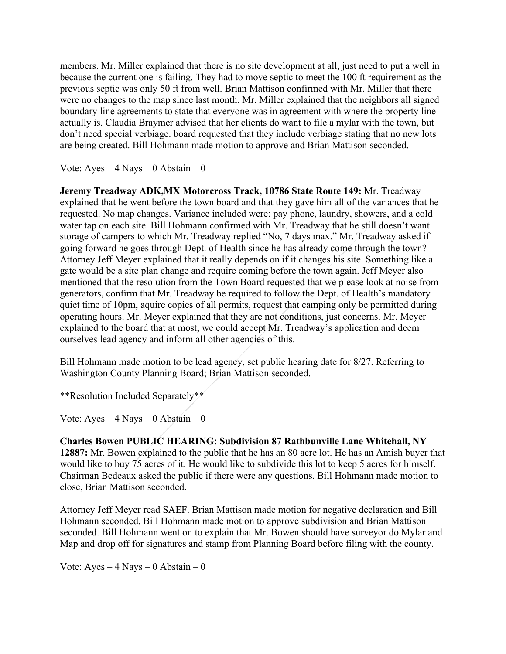members. Mr. Miller explained that there is no site development at all, just need to put a well in because the current one is failing. They had to move septic to meet the 100 ft requirement as the previous septic was only 50 ft from well. Brian Mattison confirmed with Mr. Miller that there were no changes to the map since last month. Mr. Miller explained that the neighbors all signed boundary line agreements to state that everyone was in agreement with where the property line actually is. Claudia Braymer advised that her clients do want to file a mylar with the town, but don't need special verbiage. board requested that they include verbiage stating that no new lots are being created. Bill Hohmann made motion to approve and Brian Mattison seconded.

Vote:  $Ayes - 4$  Nays  $- 0$  Abstain  $- 0$ 

**Jeremy Treadway ADK,MX Motorcross Track, 10786 State Route 149:** Mr. Treadway explained that he went before the town board and that they gave him all of the variances that he requested. No map changes. Variance included were: pay phone, laundry, showers, and a cold water tap on each site. Bill Hohmann confirmed with Mr. Treadway that he still doesn't want storage of campers to which Mr. Treadway replied "No, 7 days max." Mr. Treadway asked if going forward he goes through Dept. of Health since he has already come through the town? Attorney Jeff Meyer explained that it really depends on if it changes his site. Something like a gate would be a site plan change and require coming before the town again. Jeff Meyer also mentioned that the resolution from the Town Board requested that we please look at noise from generators, confirm that Mr. Treadway be required to follow the Dept. of Health's mandatory quiet time of 10pm, aquire copies of all permits, request that camping only be permitted during operating hours. Mr. Meyer explained that they are not conditions, just concerns. Mr. Meyer explained to the board that at most, we could accept Mr. Treadway's application and deem ourselves lead agency and inform all other agencies of this.

Bill Hohmann made motion to be lead agency, set public hearing date for 8/27. Referring to Washington County Planning Board; Brian Mattison seconded.

\*\*Resolution Included Separately\*\*

Vote:  $Ayes - 4$  Nays – 0 Abstain – 0

**Charles Bowen PUBLIC HEARING: Subdivision 87 Rathbunville Lane Whitehall, NY 12887:** Mr. Bowen explained to the public that he has an 80 acre lot. He has an Amish buyer that would like to buy 75 acres of it. He would like to subdivide this lot to keep 5 acres for himself. Chairman Bedeaux asked the public if there were any questions. Bill Hohmann made motion to close, Brian Mattison seconded.

Attorney Jeff Meyer read SAEF. Brian Mattison made motion for negative declaration and Bill Hohmann seconded. Bill Hohmann made motion to approve subdivision and Brian Mattison seconded. Bill Hohmann went on to explain that Mr. Bowen should have surveyor do Mylar and Map and drop off for signatures and stamp from Planning Board before filing with the county.

Vote:  $Aves - 4$  Nays  $- 0$  Abstain  $- 0$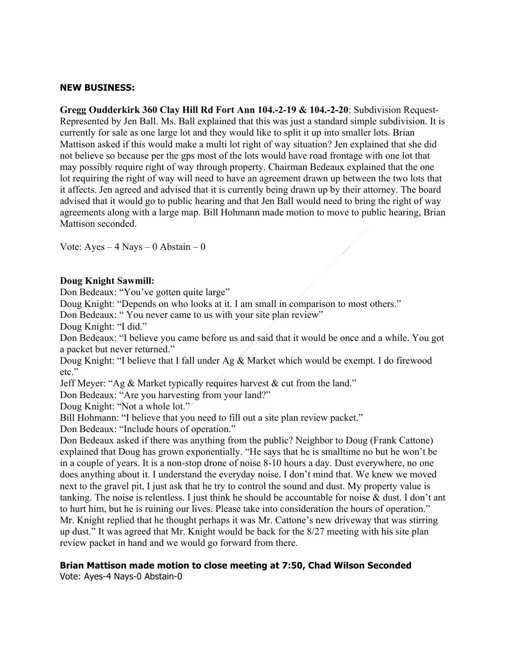## **NEW BUSINESS:**

**Gregg Oudderkirk 360 Clay Hill Rd Fort Ann 104.-2-19 & 104.-2-20**: Subdivision Request-Represented by Jen Ball. Ms. Ball explained that this was just a standard simple subdivision. It is currently for sale as one large lot and they would like to split it up into smaller lots. Brian Mattison asked if this would make a multi lot right of way situation? Jen explained that she did not believe so because per the gps most of the lots would have road frontage with one lot that may possibly require right of way through property. Chairman Bedeaux explained that the one lot requiring the right of way will need to have an agreement drawn up between the two lots that it affects. Jen agreed and advised that it is currently being drawn up by their attorney. The board advised that it would go to public hearing and that Jen Ball would need to bring the right of way agreements along with a large map. Bill Hohmann made motion to move to public hearing, Brian Mattison seconded.

Vote:  $Ayes - 4$  Nays – 0 Abstain – 0

### **Doug Knight Sawmill:**

Don Bedeaux: "You've gotten quite large"

Doug Knight: "Depends on who looks at it. I am small in comparison to most others."

Don Bedeaux: " You never came to us with your site plan review"

Doug Knight: "I did."

Don Bedeaux: "I believe you came before us and said that it would be once and a while. You got a packet but never returned."

Doug Knight: "I believe that I fall under Ag & Market which would be exempt. I do firewood etc."

Jeff Meyer: "Ag  $\&$  Market typically requires harvest  $\&$  cut from the land."

Don Bedeaux: "Are you harvesting from your land?"

Doug Knight: "Not a whole lot."

Bill Hohmann: "I believe that you need to fill out a site plan review packet."

Don Bedeaux: "Include hours of operation."

Don Bedeaux asked if there was anything from the public? Neighbor to Doug (Frank Cattone) explained that Doug has grown exponentially. "He says that he is smalltime no but he won't be in a couple of years. It is a non-stop drone of noise 8-10 hours a day. Dust everywhere, no one does anything about it. I understand the everyday noise. I don't mind that. We knew we moved next to the gravel pit, I just ask that he try to control the sound and dust. My property value is tanking. The noise is relentless. I just think he should be accountable for noise & dust. I don't ant to hurt him, but he is ruining our lives. Please take into consideration the hours of operation." Mr. Knight replied that he thought perhaps it was Mr. Cattone's new driveway that was stirring up dust." It was agreed that Mr. Knight would be back for the 8/27 meeting with his site plan review packet in hand and we would go forward from there.

# **Brian Mattison made motion to close meeting at 7:50, Chad Wilson Seconded**

Vote: Ayes-4 Nays-0 Abstain-0